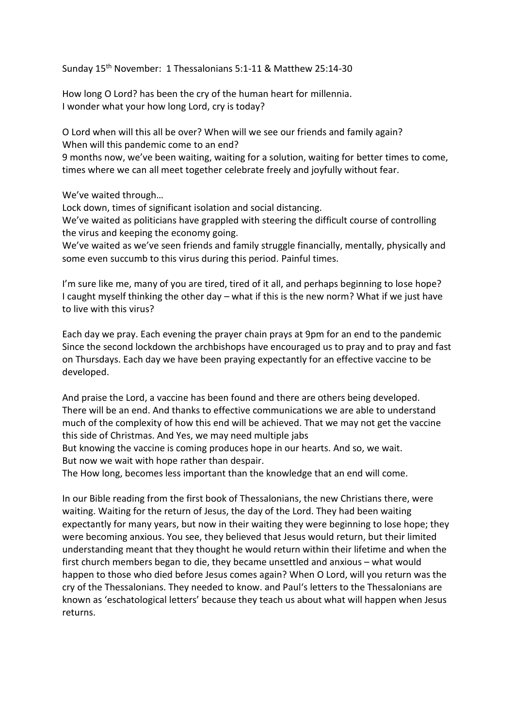Sunday 15th November: 1 Thessalonians 5:1-11 & Matthew 25:14-30

How long O Lord? has been the cry of the human heart for millennia. I wonder what your how long Lord, cry is today?

O Lord when will this all be over? When will we see our friends and family again? When will this pandemic come to an end?

9 months now, we've been waiting, waiting for a solution, waiting for better times to come, times where we can all meet together celebrate freely and joyfully without fear.

We've waited through…

Lock down, times of significant isolation and social distancing.

We've waited as politicians have grappled with steering the difficult course of controlling the virus and keeping the economy going.

We've waited as we've seen friends and family struggle financially, mentally, physically and some even succumb to this virus during this period. Painful times.

I'm sure like me, many of you are tired, tired of it all, and perhaps beginning to lose hope? I caught myself thinking the other day – what if this is the new norm? What if we just have to live with this virus?

Each day we pray. Each evening the prayer chain prays at 9pm for an end to the pandemic Since the second lockdown the archbishops have encouraged us to pray and to pray and fast on Thursdays. Each day we have been praying expectantly for an effective vaccine to be developed.

And praise the Lord, a vaccine has been found and there are others being developed. There will be an end. And thanks to effective communications we are able to understand much of the complexity of how this end will be achieved. That we may not get the vaccine this side of Christmas. And Yes, we may need multiple jabs

But knowing the vaccine is coming produces hope in our hearts. And so, we wait. But now we wait with hope rather than despair.

The How long, becomes less important than the knowledge that an end will come.

In our Bible reading from the first book of Thessalonians, the new Christians there, were waiting. Waiting for the return of Jesus, the day of the Lord. They had been waiting expectantly for many years, but now in their waiting they were beginning to lose hope; they were becoming anxious. You see, they believed that Jesus would return, but their limited understanding meant that they thought he would return within their lifetime and when the first church members began to die, they became unsettled and anxious – what would happen to those who died before Jesus comes again? When O Lord, will you return was the cry of the Thessalonians. They needed to know. and Paul's letters to the Thessalonians are known as 'eschatological letters' because they teach us about what will happen when Jesus returns.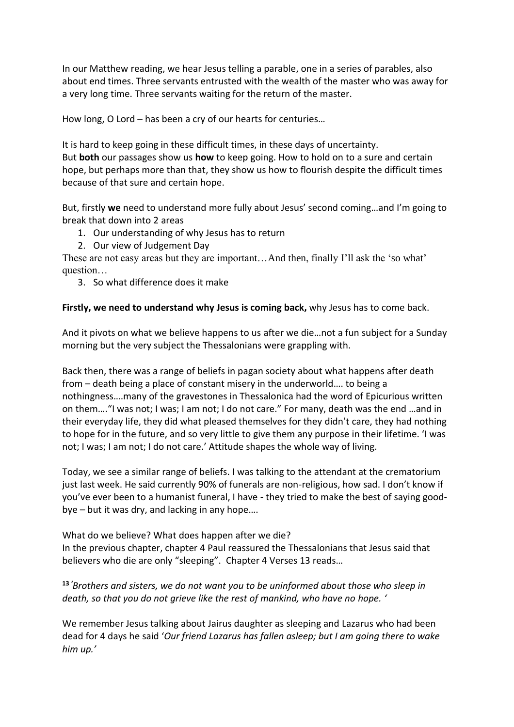In our Matthew reading, we hear Jesus telling a parable, one in a series of parables, also about end times. Three servants entrusted with the wealth of the master who was away for a very long time. Three servants waiting for the return of the master.

How long, O Lord – has been a cry of our hearts for centuries…

It is hard to keep going in these difficult times, in these days of uncertainty. But **both** our passages show us **how** to keep going. How to hold on to a sure and certain hope, but perhaps more than that, they show us how to flourish despite the difficult times because of that sure and certain hope.

But, firstly **we** need to understand more fully about Jesus' second coming…and I'm going to break that down into 2 areas

- 1. Our understanding of why Jesus has to return
- 2. Our view of Judgement Day

These are not easy areas but they are important…And then, finally I'll ask the 'so what' question…

3. So what difference does it make

# **Firstly, we need to understand why Jesus is coming back,** why Jesus has to come back.

And it pivots on what we believe happens to us after we die…not a fun subject for a Sunday morning but the very subject the Thessalonians were grappling with.

Back then, there was a range of beliefs in pagan society about what happens after death from – death being a place of constant misery in the underworld…. to being a nothingness….many of the gravestones in Thessalonica had the word of Epicurious written on them…."I was not; I was; I am not; I do not care." For many, death was the end …and in their everyday life, they did what pleased themselves for they didn't care, they had nothing to hope for in the future, and so very little to give them any purpose in their lifetime. 'I was not; I was; I am not; I do not care.' Attitude shapes the whole way of living.

Today, we see a similar range of beliefs. I was talking to the attendant at the crematorium just last week. He said currently 90% of funerals are non-religious, how sad. I don't know if you've ever been to a humanist funeral, I have - they tried to make the best of saying goodbye – but it was dry, and lacking in any hope….

What do we believe? What does happen after we die? In the previous chapter, chapter 4 Paul reassured the Thessalonians that Jesus said that believers who die are only "sleeping". Chapter 4 Verses 13 reads…

**<sup>13</sup>** *'Brothers and sisters, we do not want you to be uninformed about those who sleep in death, so that you do not grieve like the rest of mankind, who have no hope. '*

We remember Jesus talking about Jairus daughter as sleeping and Lazarus who had been dead for 4 days he said '*Our friend Lazarus has fallen asleep; but I am going there to wake him up.'*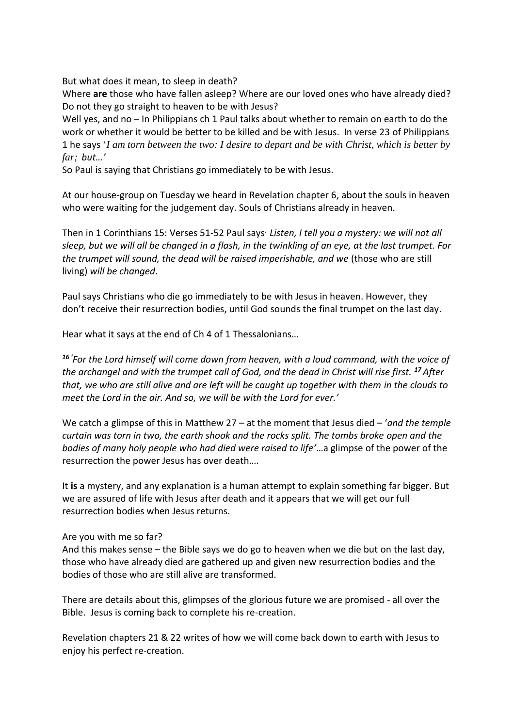But what does it mean, to sleep in death?

Where **are** those who have fallen asleep? Where are our loved ones who have already died? Do not they go straight to heaven to be with Jesus?

Well yes, and no – In Philippians ch 1 Paul talks about whether to remain on earth to do the work or whether it would be better to be killed and be with Jesus. In verse 23 of Philippians 1 he says '*I am torn between the two: I desire to depart and be with Christ, which is better by far; but…'*

So Paul is saying that Christians go immediately to be with Jesus.

At our house-group on Tuesday we heard in Revelation chapter 6, about the souls in heaven who were waiting for the judgement day. Souls of Christians already in heaven.

Then in 1 Corinthians 15: Verses 51-52 Paul says**.** *Listen, I tell you a mystery: we will not all sleep, but we will all be changed in a flash, in the twinkling of an eye, at the last trumpet. For the trumpet will sound, the dead will be raised imperishable, and we* (those who are still living) *will be changed*.

Paul says Christians who die go immediately to be with Jesus in heaven. However, they don't receive their resurrection bodies, until God sounds the final trumpet on the last day.

Hear what it says at the end of Ch 4 of 1 Thessalonians…

*<sup>16</sup> 'For the Lord himself will come down from heaven, with a loud command, with the voice of the archangel and with the trumpet call of God, and the dead in Christ will rise first. <sup>17</sup> After that, we who are still alive and are left will be caught up together with them in the clouds to meet the Lord in the air. And so, we will be with the Lord for ever.'*

We catch a glimpse of this in Matthew 27 – at the moment that Jesus died – '*and the temple curtain was torn in two, the earth shook and the rocks split. The tombs broke open and the bodies of many holy people who had died were raised to life'*…a glimpse of the power of the resurrection the power Jesus has over death….

It **is** a mystery, and any explanation is a human attempt to explain something far bigger. But we are assured of life with Jesus after death and it appears that we will get our full resurrection bodies when Jesus returns.

### Are you with me so far?

And this makes sense – the Bible says we do go to heaven when we die but on the last day, those who have already died are gathered up and given new resurrection bodies and the bodies of those who are still alive are transformed.

There are details about this, glimpses of the glorious future we are promised - all over the Bible. Jesus is coming back to complete his re-creation.

Revelation chapters 21 & 22 writes of how we will come back down to earth with Jesus to enjoy his perfect re-creation.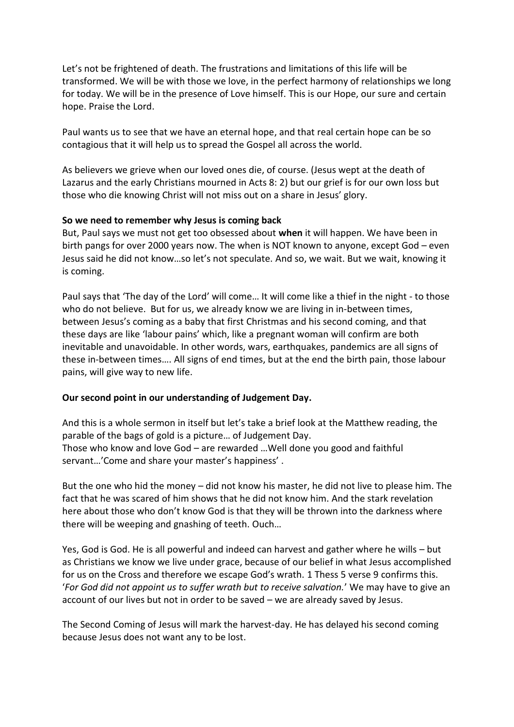Let's not be frightened of death. The frustrations and limitations of this life will be transformed. We will be with those we love, in the perfect harmony of relationships we long for today. We will be in the presence of Love himself. This is our Hope, our sure and certain hope. Praise the Lord.

Paul wants us to see that we have an eternal hope, and that real certain hope can be so contagious that it will help us to spread the Gospel all across the world.

As believers we grieve when our loved ones die, of course. (Jesus wept at the death of Lazarus and the early Christians mourned in Acts 8: 2) but our grief is for our own loss but those who die knowing Christ will not miss out on a share in Jesus' glory.

## **So we need to remember why Jesus is coming back**

But, Paul says we must not get too obsessed about **when** it will happen. We have been in birth pangs for over 2000 years now. The when is NOT known to anyone, except God – even Jesus said he did not know…so let's not speculate. And so, we wait. But we wait, knowing it is coming.

Paul says that 'The day of the Lord' will come… It will come like a thief in the night - to those who do not believe. But for us, we already know we are living in in-between times, between Jesus's coming as a baby that first Christmas and his second coming, and that these days are like 'labour pains' which, like a pregnant woman will confirm are both inevitable and unavoidable. In other words, wars, earthquakes, pandemics are all signs of these in-between times…. All signs of end times, but at the end the birth pain, those labour pains, will give way to new life.

# **Our second point in our understanding of Judgement Day.**

And this is a whole sermon in itself but let's take a brief look at the Matthew reading, the parable of the bags of gold is a picture… of Judgement Day. Those who know and love God – are rewarded …Well done you good and faithful servant…'Come and share your master's happiness' .

But the one who hid the money – did not know his master, he did not live to please him. The fact that he was scared of him shows that he did not know him. And the stark revelation here about those who don't know God is that they will be thrown into the darkness where there will be weeping and gnashing of teeth. Ouch…

Yes, God is God. He is all powerful and indeed can harvest and gather where he wills – but as Christians we know we live under grace, because of our belief in what Jesus accomplished for us on the Cross and therefore we escape God's wrath. 1 Thess 5 verse 9 confirms this. '*For God did not appoint us to suffer wrath but to receive salvation.*' We may have to give an account of our lives but not in order to be saved – we are already saved by Jesus.

The Second Coming of Jesus will mark the harvest-day. He has delayed his second coming because Jesus does not want any to be lost.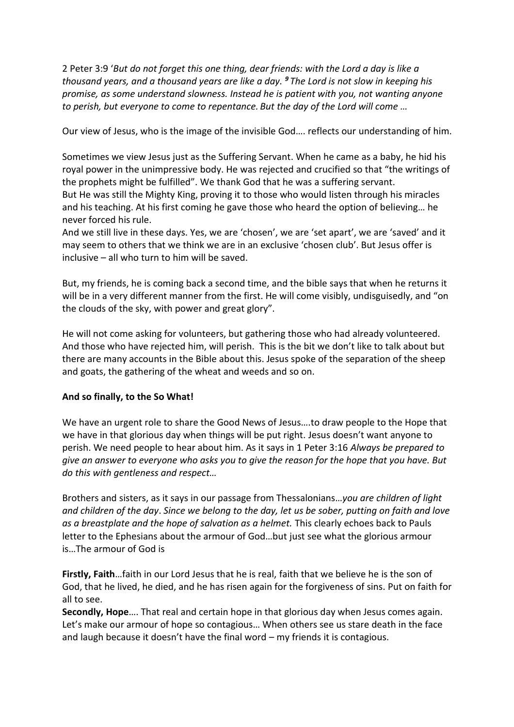2 Peter 3:9 '*But do not forget this one thing, dear friends: with the Lord a day is like a thousand years, and a thousand years are like a day. <sup>9</sup> The Lord is not slow in keeping his promise, as some understand slowness. Instead he is patient with you, not wanting anyone to perish, but everyone to come to repentance. But the day of the Lord will come …*

Our view of Jesus, who is the image of the invisible God…. reflects our understanding of him.

Sometimes we view Jesus just as the Suffering Servant. When he came as a baby, he hid his royal power in the unimpressive body. He was rejected and crucified so that "the writings of the prophets might be fulfilled". We thank God that he was a suffering servant. But He was still the Mighty King, proving it to those who would listen through his miracles and his teaching. At his first coming he gave those who heard the option of believing… he never forced his rule.

And we still live in these days. Yes, we are 'chosen', we are 'set apart', we are 'saved' and it may seem to others that we think we are in an exclusive 'chosen club'. But Jesus offer is inclusive – all who turn to him will be saved.

But, my friends, he is coming back a second time, and the bible says that when he returns it will be in a very different manner from the first. He will come visibly, undisguisedly, and "on the clouds of the sky, with power and great glory".

He will not come asking for volunteers, but gathering those who had already volunteered. And those who have rejected him, will perish. This is the bit we don't like to talk about but there are many accounts in the Bible about this. Jesus spoke of the separation of the sheep and goats, the gathering of the wheat and weeds and so on.

# **And so finally, to the So What!**

We have an urgent role to share the Good News of Jesus….to draw people to the Hope that we have in that glorious day when things will be put right. Jesus doesn't want anyone to perish. We need people to hear about him. As it says in 1 Peter 3:16 *Always be prepared to give an answer to everyone who asks you to give the reason for the hope that you have. But do this with gentleness and respect…* 

Brothers and sisters, as it says in our passage from Thessalonians…*you are children of light and children of the day*. *Since we belong to the day, let us be sober, putting on faith and love as a breastplate and the hope of salvation as a helmet.* This clearly echoes back to Pauls letter to the Ephesians about the armour of God…but just see what the glorious armour is…The armour of God is

**Firstly, Faith**…faith in our Lord Jesus that he is real, faith that we believe he is the son of God, that he lived, he died, and he has risen again for the forgiveness of sins. Put on faith for all to see.

**Secondly, Hope**…. That real and certain hope in that glorious day when Jesus comes again. Let's make our armour of hope so contagious… When others see us stare death in the face and laugh because it doesn't have the final word – my friends it is contagious.